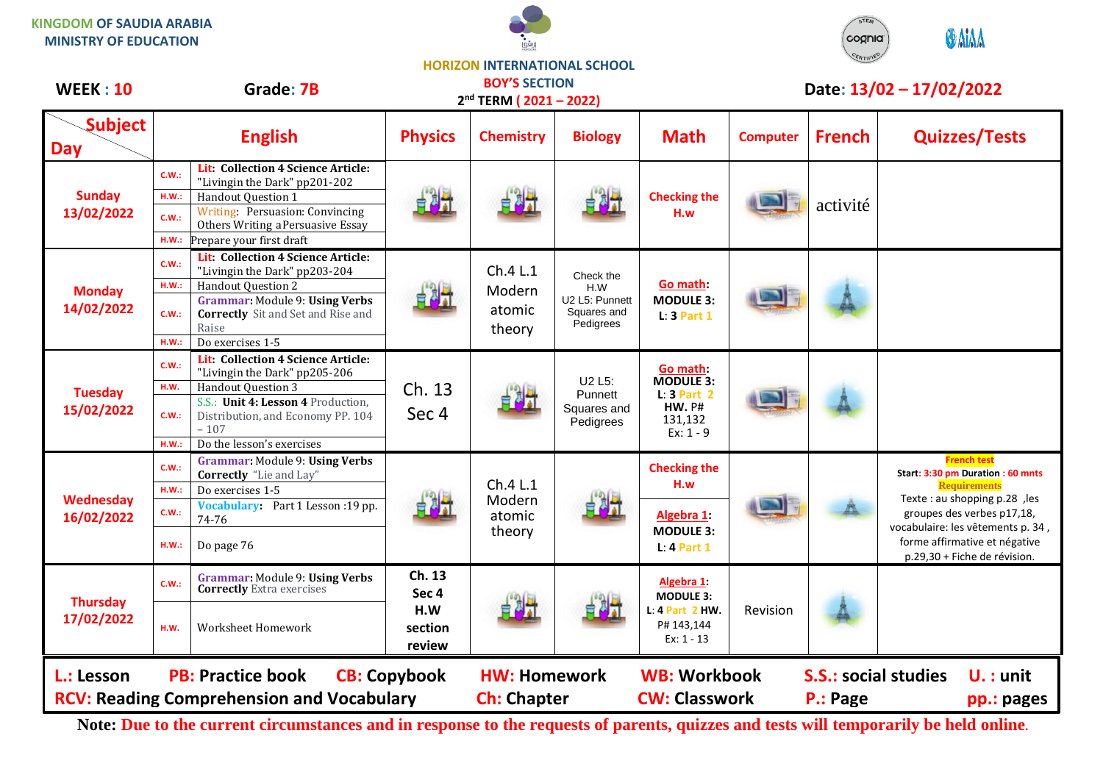



## **HORIZON INTERNATIONAL SCHOOL**

| <b>WEEK: 10</b>                | Grade: 7B                                                                                                                                                                                                                                        |                                             | <b>BOY'S SECTION</b><br>Date: 13/02 - 17/02/2022<br>2 <sup>nd</sup> TERM (2021-2022) |                                                                |                                                                                          |                 |               |                                                                                                                                                                                                                                                     |
|--------------------------------|--------------------------------------------------------------------------------------------------------------------------------------------------------------------------------------------------------------------------------------------------|---------------------------------------------|--------------------------------------------------------------------------------------|----------------------------------------------------------------|------------------------------------------------------------------------------------------|-----------------|---------------|-----------------------------------------------------------------------------------------------------------------------------------------------------------------------------------------------------------------------------------------------------|
| <b>Subject</b><br><b>Day</b>   | <b>English</b>                                                                                                                                                                                                                                   | <b>Physics</b>                              | <b>Chemistry</b>                                                                     | <b>Biology</b>                                                 | <b>Math</b>                                                                              | <b>Computer</b> | <b>French</b> | <b>Quizzes/Tests</b>                                                                                                                                                                                                                                |
| <b>Sunday</b><br>13/02/2022    | Lit: Collection 4 Science Article:<br>C.W.:<br>"Livingin the Dark" pp201-202<br>Handout Question 1<br>H.W.<br>Writing: Persuasion: Convincing<br>C.W.:<br>Others Writing a Persuasive Essay<br>H.W.<br>Prepare your first draft                  |                                             |                                                                                      |                                                                | <b>Checking the</b><br>H.w                                                               |                 | activité      |                                                                                                                                                                                                                                                     |
| <b>Monday</b><br>14/02/2022    | Lit: Collection 4 Science Article:<br>C.W.:<br>"Livingin the Dark" pp203-204<br>Handout Question 2<br>H.W.:<br><b>Grammar: Module 9: Using Verbs</b><br><b>Correctly</b> Sit and Set and Rise and<br>C.W.:<br>Raise<br>Do exercises 1-5<br>H.W.: |                                             | Ch.4 L.1<br>Modern<br>atomic<br>theory                                               | Check the<br>H.W<br>U2 L5: Punnett<br>Squares and<br>Pedigrees | Go math:<br><b>MODULE 3:</b><br>$L: 3$ Part 1                                            |                 |               |                                                                                                                                                                                                                                                     |
| <b>Tuesday</b><br>15/02/2022   | Lit: Collection 4 Science Article:<br>C.W.:<br>"Livingin the Dark" pp205-206<br>Handout Question 3<br>H.W.<br>S.S.: Unit 4: Lesson 4 Production,<br>Distribution, and Economy PP. 104<br>C.W.:<br>$-107$<br>Do the lesson's exercises<br>H.W.:   | Ch. 13<br>Sec 4                             | 白风灯                                                                                  | U2 L5:<br>Punnett<br>Squares and<br>Pedigrees                  | Go math:<br><b>MODULE 3:</b><br>$L: 3$ Part 2<br><b>HW. P#</b><br>131,132<br>$Ex: 1 - 9$ |                 |               |                                                                                                                                                                                                                                                     |
| <b>Wednesday</b><br>16/02/2022 | <b>Grammar: Module 9: Using Verbs</b><br>C.W.<br><b>Correctly</b> "Lie and Lay"<br>H.W.:<br>Do exercises 1-5<br>Vocabulary: Part 1 Lesson : 19 pp.<br>C.W.:<br>74-76<br>Do page 76<br>H.W.:                                                      |                                             | Ch.4 L.1<br>Modern<br>atomic<br>theory                                               |                                                                | <b>Checking the</b><br>H.w<br>Algebra 1:<br><b>MODULE 3:</b><br>$L: 4$ Part 1            |                 |               | <b>French test</b><br>Start: 3:30 pm Duration : 60 mnts<br><b>Requirements</b><br>Texte : au shopping p.28, les<br>groupes des verbes p17,18,<br>vocabulaire: les vêtements p. 34,<br>forme affirmative et négative<br>p.29,30 + Fiche de révision. |
| <b>Thursday</b><br>17/02/2022  | <b>Grammar: Module 9: Using Verbs</b><br>C.W.:<br><b>Correctly Extra exercises</b><br>Worksheet Homework<br>H.W.                                                                                                                                 | Ch. 13<br>Sec 4<br>H.W<br>section<br>review |                                                                                      |                                                                | Algebra 1:<br><b>MODULE 3:</b><br>L: 4 Part 2 HW.<br>P# 143,144<br>$Ex: 1 - 13$          | Revision        |               |                                                                                                                                                                                                                                                     |
| L.: Lesson                     | <b>PB: Practice book</b><br><b>RCV: Reading Comprehension and Vocabulary</b>                                                                                                                                                                     | <b>CB: Copybook</b>                         | <b>HW: Homework</b><br><b>Ch: Chapter</b>                                            |                                                                | <b>WB: Workbook</b><br><b>CW: Classwork</b>                                              |                 | P.: Page      | <b>S.S.: social studies</b><br>$U.:$ unit<br>pp.: pages                                                                                                                                                                                             |

**Note: Due to the current circumstances and in response to the requests of parents, quizzes and tests will temporarily be held online.**